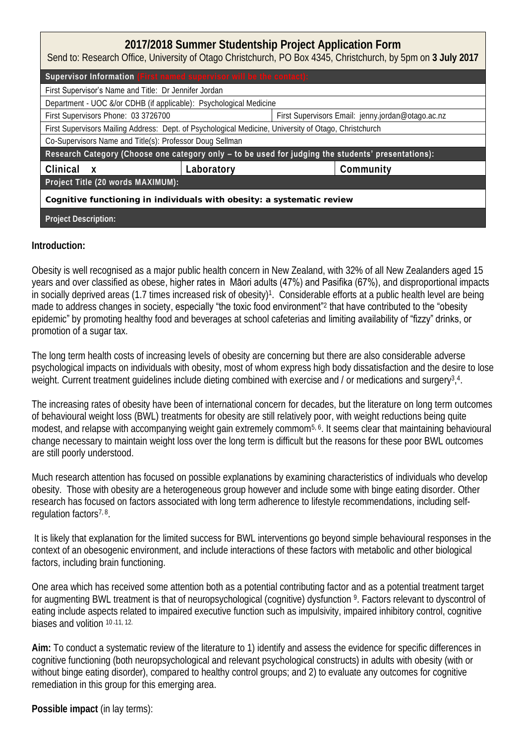| 2017/2018 Summer Studentship Project Application Form<br>Send to: Research Office, University of Otago Christchurch, PO Box 4345, Christchurch, by 5pm on 3 July 2017 |            |  |                                                   |  |  |
|-----------------------------------------------------------------------------------------------------------------------------------------------------------------------|------------|--|---------------------------------------------------|--|--|
| Supervisor Information (First named supervisor will be the contact):                                                                                                  |            |  |                                                   |  |  |
| First Supervisor's Name and Title: Dr Jennifer Jordan                                                                                                                 |            |  |                                                   |  |  |
| Department - UOC &/or CDHB (if applicable): Psychological Medicine                                                                                                    |            |  |                                                   |  |  |
| First Supervisors Phone: 03 3726700                                                                                                                                   |            |  | First Supervisors Email: jenny.jordan@otago.ac.nz |  |  |
| First Supervisors Mailing Address: Dept. of Psychological Medicine, University of Otago, Christchurch                                                                 |            |  |                                                   |  |  |
| Co-Supervisors Name and Title(s): Professor Doug Sellman                                                                                                              |            |  |                                                   |  |  |
| Research Category (Choose one category only - to be used for judging the students <sup>7</sup> presentations):                                                        |            |  |                                                   |  |  |
| Clinical<br>$\mathsf{X}$                                                                                                                                              | Laboratory |  | Community                                         |  |  |
| Project Title (20 words MAXIMUM):                                                                                                                                     |            |  |                                                   |  |  |
| Cognitive functioning in individuals with obesity: a systematic review                                                                                                |            |  |                                                   |  |  |
| Project Description:                                                                                                                                                  |            |  |                                                   |  |  |

**Introduction:**

Obesity is well recognised as a major public health concern in New Zealand, with 32% of all New Zealanders aged 15 years and over classified as obese, higher rates in Māori adults (47%) and Pasifika (67%), and disproportional impacts in socially deprived areas (1.7 times increased risk of obesity)<sup>1</sup>. Considerable efforts at a public health level are being made to address changes in society, especially "the toxic food environment"<sup>2</sup> that have contributed to the "obesity epidemic" by promoting healthy food and beverages at school cafeterias and limiting availability of "fizzy" drinks, or promotion of a sugar tax.

The long term health costs of increasing levels of obesity are concerning but there are also considerable adverse psychological impacts on individuals with obesity, most of whom express high body dissatisfaction and the desire to lose weight. Current treatment guidelines include dieting combined with exercise and / or medications and surgery<sup>3</sup>,<sup>4</sup>.

The increasing rates of obesity have been of international concern for decades, but the literature on long term outcomes of behavioural weight loss (BWL) treatments for obesity are still relatively poor, with weight reductions being quite modest, and relapse with accompanying weight gain extremely commom<sup>5, 6</sup>. It seems clear that maintaining behavioural change necessary to maintain weight loss over the long term is difficult but the reasons for these poor BWL outcomes are still poorly understood.

Much research attention has focused on possible explanations by examining characteristics of individuals who develop obesity. Those with obesity are a heterogeneous group however and include some with binge eating disorder. Other research has focused on factors associated with long term adherence to lifestyle recommendations, including selfregulation factors<sup>7, 8</sup>.

 It is likely that explanation for the limited success for BWL interventions go beyond simple behavioural responses in the context of an obesogenic environment, and include interactions of these factors with metabolic and other biological factors, including brain functioning.

One area which has received some attention both as a potential contributing factor and as a potential treatment target for augmenting BWL treatment is that of neuropsychological (cognitive) dysfunction <sup>9</sup>. Factors relevant to dyscontrol of eating include aspects related to impaired executive function such as impulsivity, impaired inhibitory control, cognitive biases and volition 10,11, 12.

**Aim:** To conduct a systematic review of the literature to 1) identify and assess the evidence for specific differences in cognitive functioning (both neuropsychological and relevant psychological constructs) in adults with obesity (with or without binge eating disorder), compared to healthy control groups; and 2) to evaluate any outcomes for cognitive remediation in this group for this emerging area.

**Possible impact** (in lay terms):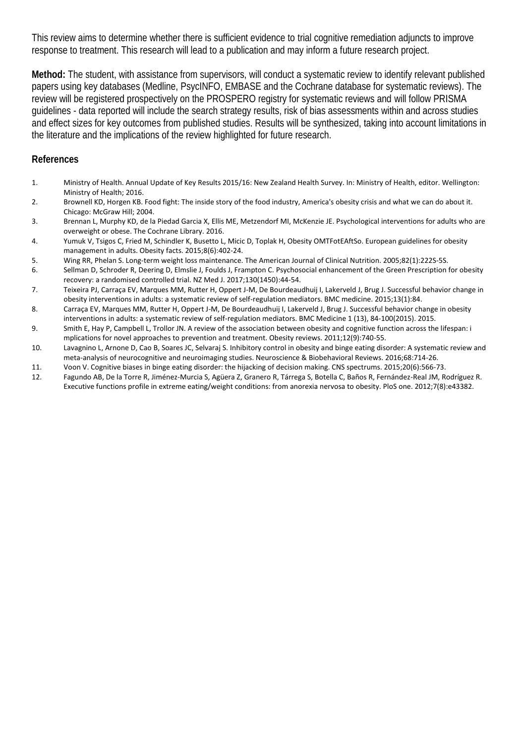This review aims to determine whether there is sufficient evidence to trial cognitive remediation adjuncts to improve response to treatment. This research will lead to a publication and may inform a future research project.

**Method:** The student, with assistance from supervisors, will conduct a systematic review to identify relevant published papers using key databases (Medline, PsycINFO, EMBASE and the Cochrane database for systematic reviews). The review will be registered prospectively on the PROSPERO registry for systematic reviews and will follow PRISMA guidelines - data reported will include the search strategy results, risk of bias assessments within and across studies and effect sizes for key outcomes from published studies. Results will be synthesized, taking into account limitations in the literature and the implications of the review highlighted for future research.

**References** 

- 1. Ministry of Health. Annual Update of Key Results 2015/16: New Zealand Health Survey. In: Ministry of Health, editor. Wellington: Ministry of Health; 2016.
- 2. Brownell KD, Horgen KB. Food fight: The inside story of the food industry, America's obesity crisis and what we can do about it. Chicago: McGraw Hill; 2004.
- 3. Brennan L, Murphy KD, de la Piedad Garcia X, Ellis ME, Metzendorf MI, McKenzie JE. Psychological interventions for adults who are overweight or obese. The Cochrane Library. 2016.
- 4. Yumuk V, Tsigos C, Fried M, Schindler K, Busetto L, Micic D, Toplak H, Obesity OMTFotEAftSo. European guidelines for obesity management in adults. Obesity facts. 2015;8(6):402-24.
- 5. Wing RR, Phelan S. Long-term weight loss maintenance. The American Journal of Clinical Nutrition. 2005;82(1):222S-5S.
- 6. Sellman D, Schroder R, Deering D, Elmslie J, Foulds J, Frampton C. Psychosocial enhancement of the Green Prescription for obesity recovery: a randomised controlled trial. NZ Med J. 2017;130(1450):44-54.
- 7. Teixeira PJ, Carraça EV, Marques MM, Rutter H, Oppert J-M, De Bourdeaudhuij I, Lakerveld J, Brug J. Successful behavior change in obesity interventions in adults: a systematic review of self-regulation mediators. BMC medicine. 2015;13(1):84.
- 8. Carraça EV, Marques MM, Rutter H, Oppert J-M, De Bourdeaudhuij I, Lakerveld J, Brug J. Successful behavior change in obesity interventions in adults: a systematic review of self-regulation mediators. BMC Medicine 1 (13), 84-100(2015). 2015.
- 9. Smith E, Hay P, Campbell L, Trollor JN. A review of the association between obesity and cognitive function across the lifespan: i mplications for novel approaches to prevention and treatment. Obesity reviews. 2011;12(9):740-55.
- 10. Lavagnino L, Arnone D, Cao B, Soares JC, Selvaraj S. Inhibitory control in obesity and binge eating disorder: A systematic review and meta-analysis of neurocognitive and neuroimaging studies. Neuroscience & Biobehavioral Reviews. 2016;68:714-26.
- 11. Voon V. Cognitive biases in binge eating disorder: the hijacking of decision making. CNS spectrums. 2015;20(6):566-73.
- 12. Fagundo AB, De la Torre R, Jiménez-Murcia S, Agüera Z, Granero R, Tárrega S, Botella C, Baños R, Fernández-Real JM, Rodríguez R. Executive functions profile in extreme eating/weight conditions: from anorexia nervosa to obesity. PloS one. 2012;7(8):e43382.